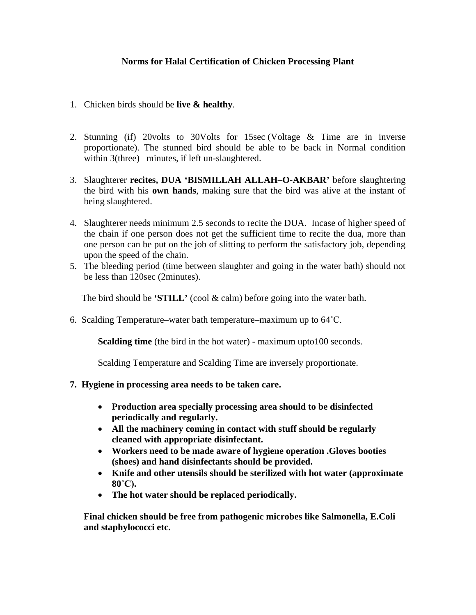## **Norms for Halal Certification of Chicken Processing Plant**

- 1. Chicken birds should be **live & healthy**.
- 2. Stunning (if) 20volts to 30Volts for 15sec (Voltage & Time are in inverse proportionate). The stunned bird should be able to be back in Normal condition within 3(three) minutes, if left un-slaughtered.
- 3. Slaughterer **recites, DUA 'BISMILLAH ALLAH–O-AKBAR'** before slaughtering the bird with his **own hands**, making sure that the bird was alive at the instant of being slaughtered.
- 4. Slaughterer needs minimum 2.5 seconds to recite the DUA. Incase of higher speed of the chain if one person does not get the sufficient time to recite the dua, more than one person can be put on the job of slitting to perform the satisfactory job, depending upon the speed of the chain.
- 5. The bleeding period (time between slaughter and going in the water bath) should not be less than 120sec (2minutes).

The bird should be **'STILL'** (cool & calm) before going into the water bath.

6. Scalding Temperature–water bath temperature–maximum up to 64˚C.

**Scalding time** (the bird in the hot water) - maximum upto100 seconds.

Scalding Temperature and Scalding Time are inversely proportionate.

- **7. Hygiene in processing area needs to be taken care.**
	- **Production area specially processing area should to be disinfected periodically and regularly.**
	- **All the machinery coming in contact with stuff should be regularly cleaned with appropriate disinfectant.**
	- **Workers need to be made aware of hygiene operation .Gloves booties (shoes) and hand disinfectants should be provided.**
	- **Knife and other utensils should be sterilized with hot water (approximate 80˚C).**
	- **The hot water should be replaced periodically.**

**Final chicken should be free from pathogenic microbes like Salmonella, E.Coli and staphylococci etc.**